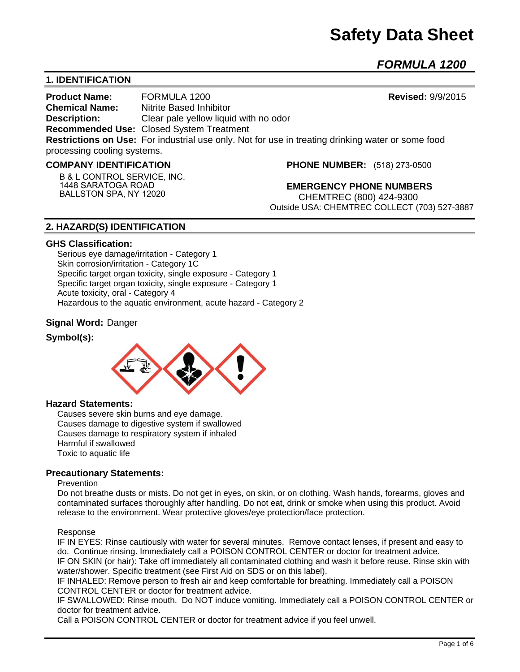# **Safety Data Sheet**

*FORMULA 1200*

# **1. IDENTIFICATION**

**Product Name:** FORMULA 1200 **Revised:** 9/9/2015 **Chemical Name:** Nitrite Based Inhibitor **Description:** Clear pale yellow liquid with no odor **Recommended Use:** Closed System Treatment **Restrictions on Use:** For industrial use only. Not for use in treating drinking water or some food processing cooling systems.

#### **COMPANY IDENTIFICATION**

**B & L CONTROL SERVICE, INC. 1448 SARATOGA ROAD BALLSTON SPA, NY 12020**

**PHONE NUMBER:** (518) 273-0500

**EMERGENCY PHONE NUMBERS** CHEMTREC (800) 424-9300 Outside USA: CHEMTREC COLLECT (703) 527-3887

# **2. HAZARD(S) IDENTIFICATION**

#### **GHS Classification:**

Serious eye damage/irritation - Category 1 Skin corrosion/irritation - Category 1C Specific target organ toxicity, single exposure - Category 1 Specific target organ toxicity, single exposure - Category 1 Acute toxicity, oral - Category 4 Hazardous to the aquatic environment, acute hazard - Category 2

### **Signal Word:** Danger

### **Symbol(s):**



#### **Hazard Statements:**

Causes severe skin burns and eye damage. Causes damage to digestive system if swallowed Causes damage to respiratory system if inhaled Harmful if swallowed Toxic to aquatic life

### **Precautionary Statements:**

#### Prevention

Do not breathe dusts or mists. Do not get in eyes, on skin, or on clothing. Wash hands, forearms, gloves and contaminated surfaces thoroughly after handling. Do not eat, drink or smoke when using this product. Avoid release to the environment. Wear protective gloves/eye protection/face protection.

#### Response

IF IN EYES: Rinse cautiously with water for several minutes. Remove contact lenses, if present and easy to do. Continue rinsing. Immediately call a POISON CONTROL CENTER or doctor for treatment advice. IF ON SKIN (or hair): Take off immediately all contaminated clothing and wash it before reuse. Rinse skin with water/shower. Specific treatment (see First Aid on SDS or on this label).

IF INHALED: Remove person to fresh air and keep comfortable for breathing. Immediately call a POISON CONTROL CENTER or doctor for treatment advice.

IF SWALLOWED: Rinse mouth. Do NOT induce vomiting. Immediately call a POISON CONTROL CENTER or doctor for treatment advice.

Call a POISON CONTROL CENTER or doctor for treatment advice if you feel unwell.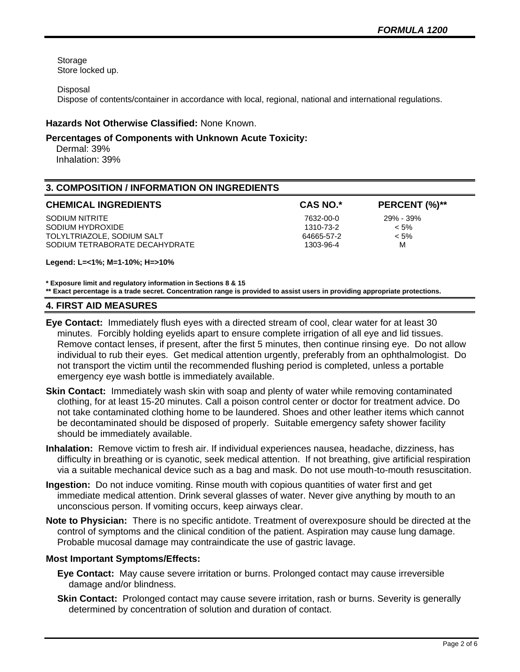Storage Store locked up.

Disposal

Dispose of contents/container in accordance with local, regional, national and international regulations.

# **Hazards Not Otherwise Classified:** None Known.

## **Percentages of Components with Unknown Acute Toxicity:**

 Dermal: 39% Inhalation: 39%

# **3. COMPOSITION / INFORMATION ON INGREDIENTS**

| <b>CHEMICAL INGREDIENTS</b>    | <b>CAS NO.*</b> | PERCENT (%)** |
|--------------------------------|-----------------|---------------|
| SODIUM NITRITE                 | 7632-00-0       | 29% - 39%     |
| SODIUM HYDROXIDE               | 1310-73-2       | $< 5\%$       |
| TOLYLTRIAZOLE, SODIUM SALT     | 64665-57-2      | $< 5\%$       |
| SODIUM TETRABORATE DECAHYDRATE | 1303-96-4       | м             |

**Legend: L=<1%; M=1-10%; H=>10%**

**\* Exposure limit and regulatory information in Sections 8 & 15**

**\*\* Exact percentage is a trade secret. Concentration range is provided to assist users in providing appropriate protections.**

#### **4. FIRST AID MEASURES**

- **Eye Contact:** Immediately flush eyes with a directed stream of cool, clear water for at least 30 minutes. Forcibly holding eyelids apart to ensure complete irrigation of all eye and lid tissues. Remove contact lenses, if present, after the first 5 minutes, then continue rinsing eye. Do not allow individual to rub their eyes. Get medical attention urgently, preferably from an ophthalmologist. Do not transport the victim until the recommended flushing period is completed, unless a portable emergency eye wash bottle is immediately available.
- **Skin Contact:** Immediately wash skin with soap and plenty of water while removing contaminated clothing, for at least 15-20 minutes. Call a poison control center or doctor for treatment advice. Do not take contaminated clothing home to be laundered. Shoes and other leather items which cannot be decontaminated should be disposed of properly. Suitable emergency safety shower facility should be immediately available.
- **Inhalation:** Remove victim to fresh air. If individual experiences nausea, headache, dizziness, has difficulty in breathing or is cyanotic, seek medical attention. If not breathing, give artificial respiration via a suitable mechanical device such as a bag and mask. Do not use mouth-to-mouth resuscitation.
- **Ingestion:** Do not induce vomiting. Rinse mouth with copious quantities of water first and get immediate medical attention. Drink several glasses of water. Never give anything by mouth to an unconscious person. If vomiting occurs, keep airways clear.
- **Note to Physician:** There is no specific antidote. Treatment of overexposure should be directed at the control of symptoms and the clinical condition of the patient. Aspiration may cause lung damage. Probable mucosal damage may contraindicate the use of gastric lavage.

### **Most Important Symptoms/Effects:**

- **Eye Contact:** May cause severe irritation or burns. Prolonged contact may cause irreversible damage and/or blindness.
- **Skin Contact:** Prolonged contact may cause severe irritation, rash or burns. Severity is generally determined by concentration of solution and duration of contact.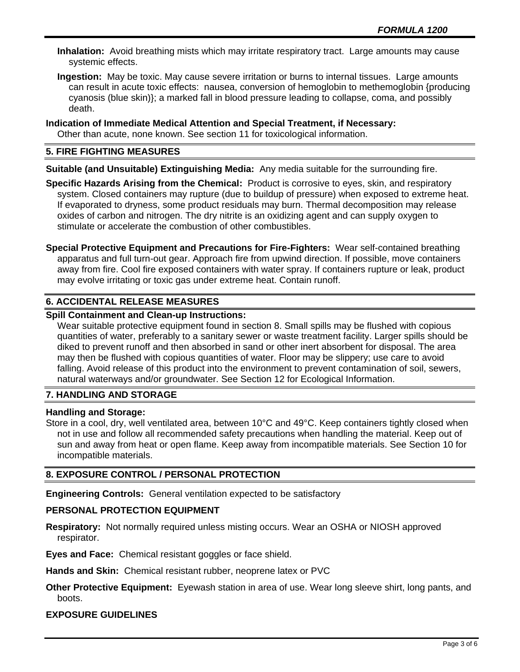**Inhalation:** Avoid breathing mists which may irritate respiratory tract. Large amounts may cause systemic effects.

**Ingestion:** May be toxic. May cause severe irritation or burns to internal tissues. Large amounts can result in acute toxic effects: nausea, conversion of hemoglobin to methemoglobin {producing cyanosis (blue skin)}; a marked fall in blood pressure leading to collapse, coma, and possibly death.

**Indication of Immediate Medical Attention and Special Treatment, if Necessary:**

Other than acute, none known. See section 11 for toxicological information.

# **5. FIRE FIGHTING MEASURES**

**Suitable (and Unsuitable) Extinguishing Media:** Any media suitable for the surrounding fire.

**Specific Hazards Arising from the Chemical:** Product is corrosive to eyes, skin, and respiratory system. Closed containers may rupture (due to buildup of pressure) when exposed to extreme heat. If evaporated to dryness, some product residuals may burn. Thermal decomposition may release oxides of carbon and nitrogen. The dry nitrite is an oxidizing agent and can supply oxygen to stimulate or accelerate the combustion of other combustibles.

**Special Protective Equipment and Precautions for Fire-Fighters:** Wear self-contained breathing apparatus and full turn-out gear. Approach fire from upwind direction. If possible, move containers away from fire. Cool fire exposed containers with water spray. If containers rupture or leak, product may evolve irritating or toxic gas under extreme heat. Contain runoff.

# **6. ACCIDENTAL RELEASE MEASURES**

# **Spill Containment and Clean-up Instructions:**

Wear suitable protective equipment found in section 8. Small spills may be flushed with copious quantities of water, preferably to a sanitary sewer or waste treatment facility. Larger spills should be diked to prevent runoff and then absorbed in sand or other inert absorbent for disposal. The area may then be flushed with copious quantities of water. Floor may be slippery; use care to avoid falling. Avoid release of this product into the environment to prevent contamination of soil, sewers, natural waterways and/or groundwater. See Section 12 for Ecological Information.

# **7. HANDLING AND STORAGE**

### **Handling and Storage:**

Store in a cool, dry, well ventilated area, between 10°C and 49°C. Keep containers tightly closed when not in use and follow all recommended safety precautions when handling the material. Keep out of sun and away from heat or open flame. Keep away from incompatible materials. See Section 10 for incompatible materials.

# **8. EXPOSURE CONTROL / PERSONAL PROTECTION**

**Engineering Controls:** General ventilation expected to be satisfactory

# **PERSONAL PROTECTION EQUIPMENT**

**Respiratory:** Not normally required unless misting occurs. Wear an OSHA or NIOSH approved respirator.

**Eyes and Face:** Chemical resistant goggles or face shield.

**Hands and Skin:** Chemical resistant rubber, neoprene latex or PVC

**Other Protective Equipment:** Eyewash station in area of use. Wear long sleeve shirt, long pants, and boots.

# **EXPOSURE GUIDELINES**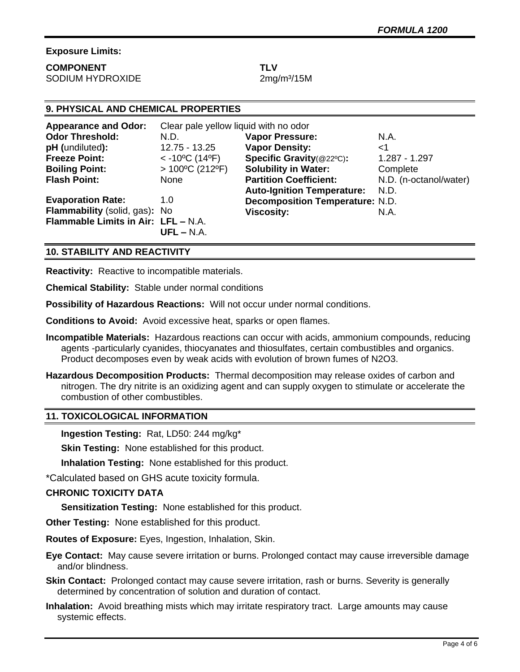# **Exposure Limits:**

| <b>COMPONENT</b> | TLV |
|------------------|-----|
| SODIUM HYDROXIDE |     |

 $2$ mg/m $3/15$ M

# **9. PHYSICAL AND CHEMICAL PROPERTIES**

| <b>Appearance and Odor:</b>         | Clear pale yellow liquid with no odor      |                                        |                        |
|-------------------------------------|--------------------------------------------|----------------------------------------|------------------------|
| <b>Odor Threshold:</b>              | N.D.                                       | <b>Vapor Pressure:</b>                 | N.A.                   |
| pH (undiluted):                     | 12.75 - 13.25                              | <b>Vapor Density:</b>                  | ا>                     |
| <b>Freeze Point:</b>                | $<$ -10 <sup>o</sup> C (14 <sup>o</sup> F) | Specific Gravity(@22°C):               | 1.287 - 1.297          |
| <b>Boiling Point:</b>               | $>100^{\circ}$ C (212°F)                   | <b>Solubility in Water:</b>            | Complete               |
| <b>Flash Point:</b>                 | None                                       | <b>Partition Coefficient:</b>          | N.D. (n-octanol/water) |
|                                     |                                            | <b>Auto-Ignition Temperature:</b>      | N.D.                   |
| <b>Evaporation Rate:</b>            | 1.0                                        | <b>Decomposition Temperature: N.D.</b> |                        |
| Flammability (solid, gas): No       |                                            | <b>Viscosity:</b>                      | N.A.                   |
| Flammable Limits in Air: LFL - N.A. | $UFL - N.A.$                               |                                        |                        |

# **10. STABILITY AND REACTIVITY**

**Reactivity:** Reactive to incompatible materials.

**Chemical Stability:** Stable under normal conditions

**Possibility of Hazardous Reactions:** Will not occur under normal conditions.

**Conditions to Avoid:** Avoid excessive heat, sparks or open flames.

- **Incompatible Materials:** Hazardous reactions can occur with acids, ammonium compounds, reducing agents -particularly cyanides, thiocyanates and thiosulfates, certain combustibles and organics. Product decomposes even by weak acids with evolution of brown fumes of N2O3.
- **Hazardous Decomposition Products:** Thermal decomposition may release oxides of carbon and nitrogen. The dry nitrite is an oxidizing agent and can supply oxygen to stimulate or accelerate the combustion of other combustibles.

# **11. TOXICOLOGICAL INFORMATION**

**Ingestion Testing:** Rat, LD50: 244 mg/kg\*

**Skin Testing:** None established for this product.

**Inhalation Testing:** None established for this product.

\*Calculated based on GHS acute toxicity formula.

## **CHRONIC TOXICITY DATA**

**Sensitization Testing:** None established for this product.

**Other Testing:** None established for this product.

**Routes of Exposure:** Eyes, Ingestion, Inhalation, Skin.

- **Eye Contact:** May cause severe irritation or burns. Prolonged contact may cause irreversible damage and/or blindness.
- **Skin Contact:** Prolonged contact may cause severe irritation, rash or burns. Severity is generally determined by concentration of solution and duration of contact.
- **Inhalation:** Avoid breathing mists which may irritate respiratory tract. Large amounts may cause systemic effects.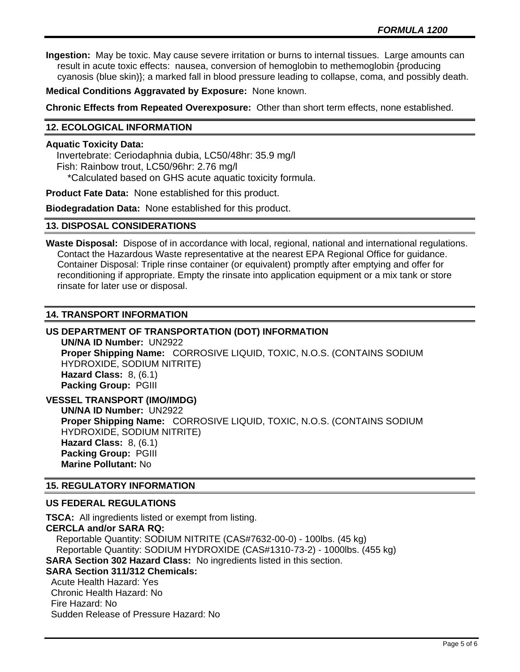**Ingestion:** May be toxic. May cause severe irritation or burns to internal tissues. Large amounts can result in acute toxic effects: nausea, conversion of hemoglobin to methemoglobin {producing cyanosis (blue skin)}; a marked fall in blood pressure leading to collapse, coma, and possibly death.

**Medical Conditions Aggravated by Exposure:** None known.

**Chronic Effects from Repeated Overexposure:** Other than short term effects, none established.

## **12. ECOLOGICAL INFORMATION**

# **Aquatic Toxicity Data:**

 Invertebrate: Ceriodaphnia dubia, LC50/48hr: 35.9 mg/l Fish: Rainbow trout, LC50/96hr: 2.76 mg/l \*Calculated based on GHS acute aquatic toxicity formula.

**Product Fate Data:** None established for this product.

**Biodegradation Data:** None established for this product.

### **13. DISPOSAL CONSIDERATIONS**

**Waste Disposal:** Dispose of in accordance with local, regional, national and international regulations. Contact the Hazardous Waste representative at the nearest EPA Regional Office for guidance. Container Disposal: Triple rinse container (or equivalent) promptly after emptying and offer for reconditioning if appropriate. Empty the rinsate into application equipment or a mix tank or store rinsate for later use or disposal.

### **14. TRANSPORT INFORMATION**

# **US DEPARTMENT OF TRANSPORTATION (DOT) INFORMATION**

**UN/NA ID Number:** UN2922 **Proper Shipping Name:** CORROSIVE LIQUID, TOXIC, N.O.S. (CONTAINS SODIUM HYDROXIDE, SODIUM NITRITE) **Hazard Class:** 8, (6.1) **Packing Group:** PGIII

**VESSEL TRANSPORT (IMO/IMDG) UN/NA ID Number:** UN2922 **Proper Shipping Name:** CORROSIVE LIQUID, TOXIC, N.O.S. (CONTAINS SODIUM HYDROXIDE, SODIUM NITRITE) **Hazard Class:** 8, (6.1) **Packing Group:** PGIII **Marine Pollutant:** No

# **15. REGULATORY INFORMATION**

## **US FEDERAL REGULATIONS**

**TSCA:** All ingredients listed or exempt from listing. **CERCLA and/or SARA RQ:**  Reportable Quantity: SODIUM NITRITE (CAS#7632-00-0) - 100lbs. (45 kg) Reportable Quantity: SODIUM HYDROXIDE (CAS#1310-73-2) - 1000lbs. (455 kg) **SARA Section 302 Hazard Class:** No ingredients listed in this section. **SARA Section 311/312 Chemicals:**  Acute Health Hazard: Yes Chronic Health Hazard: No Fire Hazard: No Sudden Release of Pressure Hazard: No